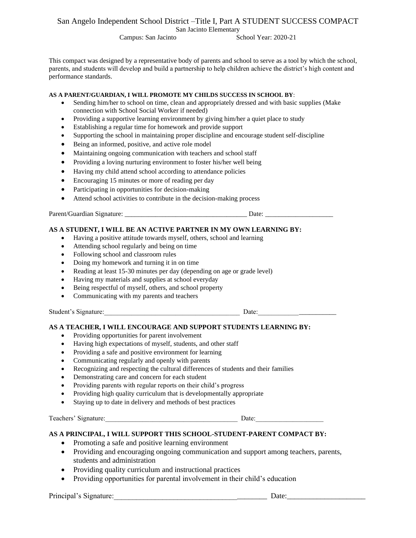# San Angelo Independent School District –Title I, Part A STUDENT SUCCESS COMPACT

San Jacinto Elementary

Campus: San Jacinto School Year: 2020-21

This compact was designed by a representative body of parents and school to serve as a tool by which the school, parents, and students will develop and build a partnership to help children achieve the district's high content and performance standards.

#### **AS A PARENT/GUARDIAN, I WILL PROMOTE MY CHILDS SUCCESS IN SCHOOL BY**:

- Sending him/her to school on time, clean and appropriately dressed and with basic supplies (Make connection with School Social Worker if needed)
- Providing a supportive learning environment by giving him/her a quiet place to study
- Establishing a regular time for homework and provide support
- Supporting the school in maintaining proper discipline and encourage student self-discipline
- Being an informed, positive, and active role model
- Maintaining ongoing communication with teachers and school staff
- Providing a loving nurturing environment to foster his/her well being
- Having my child attend school according to attendance policies
- Encouraging 15 minutes or more of reading per day
- Participating in opportunities for decision-making
- Attend school activities to contribute in the decision-making process

Parent/Guardian Signature: \_\_\_\_\_\_\_\_\_\_\_\_\_\_\_\_\_\_\_\_\_\_\_\_\_\_\_\_\_\_\_\_\_\_\_\_ Date: \_\_\_\_\_\_\_\_\_\_\_\_\_\_\_\_\_\_\_\_

### **AS A STUDENT, I WILL BE AN ACTIVE PARTNER IN MY OWN LEARNING BY:**

- Having a positive attitude towards myself, others, school and learning
- Attending school regularly and being on time
- Following school and classroom rules
- Doing my homework and turning it in on time
- Reading at least 15-30 minutes per day (depending on age or grade level)
- Having my materials and supplies at school everyday
- Being respectful of myself, others, and school property
- Communicating with my parents and teachers

Student's Signature: The Contraction of the Contraction of the Contraction of the Contraction of the Contraction of the Contraction of the Contraction of the Contraction of the Contraction of the Contraction of the Contrac

### **AS A TEACHER, I WILL ENCOURAGE AND SUPPORT STUDENTS LEARNING BY:**

- Providing opportunities for parent involvement
- Having high expectations of myself, students, and other staff
- Providing a safe and positive environment for learning
- Communicating regularly and openly with parents
- Recognizing and respecting the cultural differences of students and their families
- Demonstrating care and concern for each student
- Providing parents with regular reports on their child's progress
- Providing high quality curriculum that is developmentally appropriate
- Staying up to date in delivery and methods of best practices

Teachers' Signature:\_\_\_\_\_\_\_\_\_\_\_\_\_\_\_\_\_\_\_\_\_\_\_\_\_\_\_\_\_\_\_\_\_\_\_\_\_\_\_ Date:\_\_\_\_\_\_\_\_\_\_\_\_\_\_\_\_\_\_\_\_

### **AS A PRINCIPAL, I WILL SUPPORT THIS SCHOOL-STUDENT-PARENT COMPACT BY:**

- Promoting a safe and positive learning environment
- Providing and encouraging ongoing communication and support among teachers, parents, students and administration
- Providing quality curriculum and instructional practices
- Providing opportunities for parental involvement in their child's education